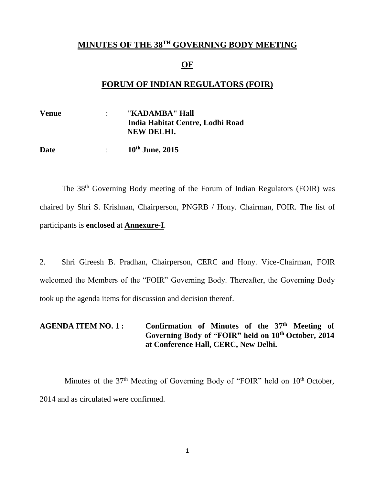## **MINUTES OF THE 38 TH GOVERNING BODY MEETING**

#### **OF**

### **FORUM OF INDIAN REGULATORS (FOIR)**

**Venue** : "**KADAMBA" Hall India Habitat Centre, Lodhi Road NEW DELHI.**

**Date** : **10th June, 2015**

The 38<sup>th</sup> Governing Body meeting of the Forum of Indian Regulators (FOIR) was chaired by Shri S. Krishnan, Chairperson, PNGRB / Hony. Chairman, FOIR. The list of participants is **enclosed** at **Annexure-I**.

2. Shri Gireesh B. Pradhan, Chairperson, CERC and Hony. Vice-Chairman, FOIR welcomed the Members of the "FOIR" Governing Body. Thereafter, the Governing Body took up the agenda items for discussion and decision thereof.

### AGENDA ITEM NO. 1: Confirmation of Minutes of the 37<sup>th</sup> Meeting of **Governing Body of "FOIR" held on 10th October, 2014 at Conference Hall, CERC, New Delhi.**

Minutes of the 37<sup>th</sup> Meeting of Governing Body of "FOIR" held on 10<sup>th</sup> October, 2014 and as circulated were confirmed.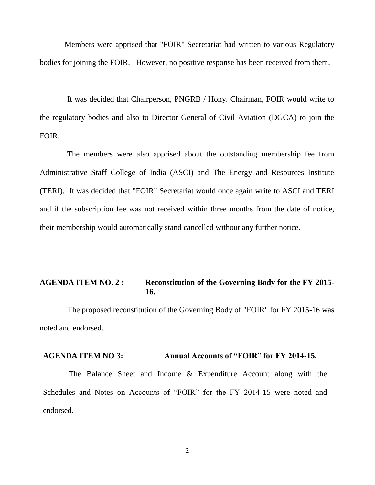Members were apprised that "FOIR" Secretariat had written to various Regulatory bodies for joining the FOIR. However, no positive response has been received from them.

It was decided that Chairperson, PNGRB / Hony. Chairman, FOIR would write to the regulatory bodies and also to Director General of Civil Aviation (DGCA) to join the FOIR.

The members were also apprised about the outstanding membership fee from Administrative Staff College of India (ASCI) and The Energy and Resources Institute (TERI). It was decided that "FOIR" Secretariat would once again write to ASCI and TERI and if the subscription fee was not received within three months from the date of notice, their membership would automatically stand cancelled without any further notice.

### **AGENDA ITEM NO. 2 : Reconstitution of the Governing Body for the FY 2015- 16.**

 The proposed reconstitution of the Governing Body of "FOIR" for FY 2015-16 was noted and endorsed.

#### **AGENDA ITEM NO 3: Annual Accounts of "FOIR" for FY 2014-15.**

 The Balance Sheet and Income & Expenditure Account along with the Schedules and Notes on Accounts of "FOIR" for the FY 2014-15 were noted and endorsed.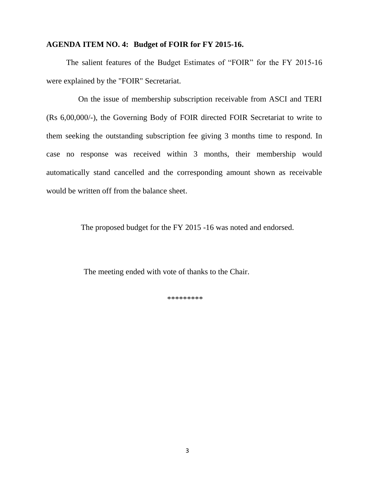#### **AGENDA ITEM NO. 4: Budget of FOIR for FY 2015-16.**

 The salient features of the Budget Estimates of "FOIR" for the FY 2015-16 were explained by the "FOIR" Secretariat.

On the issue of membership subscription receivable from ASCI and TERI (Rs 6,00,000/-), the Governing Body of FOIR directed FOIR Secretariat to write to them seeking the outstanding subscription fee giving 3 months time to respond. In case no response was received within 3 months, their membership would automatically stand cancelled and the corresponding amount shown as receivable would be written off from the balance sheet.

The proposed budget for the FY 2015 -16 was noted and endorsed.

The meeting ended with vote of thanks to the Chair.

\*\*\*\*\*\*\*\*\*